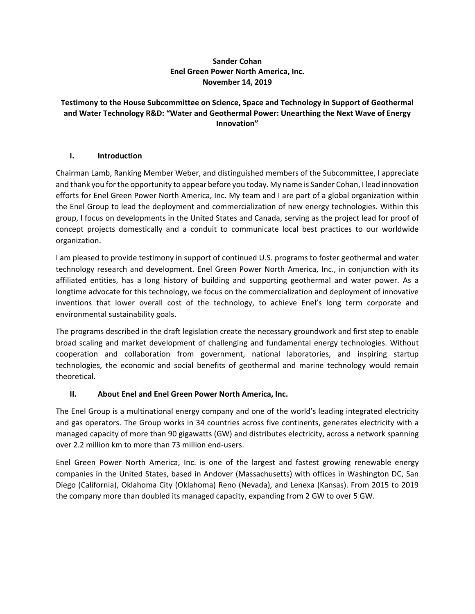### **Sander Cohan Enel Green Power North America, Inc. November 14, 2019**

### **Testimony to the House Subcommittee on Science, Space and Technology in Support of Geothermal and Water Technology R&D: "Water and Geothermal Power: Unearthing the Next Wave of Energy Innovation"**

## **I. Introduction**

Chairman Lamb, Ranking Member Weber, and distinguished members of the Subcommittee, I appreciate and thank you for the opportunity to appear before you today. My name is Sander Cohan, I lead innovation efforts for Enel Green Power North America, Inc. My team and I are part of a global organization within the Enel Group to lead the deployment and commercialization of new energy technologies. Within this group, I focus on developments in the United States and Canada, serving as the project lead for proof of concept projects domestically and a conduit to communicate local best practices to our worldwide organization.

I am pleased to provide testimony in support of continued U.S. programs to foster geothermal and water technology research and development. Enel Green Power North America, Inc., in conjunction with its affiliated entities, has a long history of building and supporting geothermal and water power. As a longtime advocate for this technology, we focus on the commercialization and deployment of innovative inventions that lower overall cost of the technology, to achieve Enel's long term corporate and environmental sustainability goals.

The programs described in the draft legislation create the necessary groundwork and first step to enable broad scaling and market development of challenging and fundamental energy technologies. Without cooperation and collaboration from government, national laboratories, and inspiring startup technologies, the economic and social benefits of geothermal and marine technology would remain theoretical.

## **II. About Enel and Enel Green Power North America, Inc.**

The Enel Group is a multinational energy company and one of the world's leading integrated electricity and gas operators. The Group works in 34 countries across five continents, generates electricity with a managed capacity of more than 90 gigawatts (GW) and distributes electricity, across a network spanning over 2.2 million km to more than 73 million end‐users.

Enel Green Power North America, Inc. is one of the largest and fastest growing renewable energy companies in the United States, based in Andover (Massachusetts) with offices in Washington DC, San Diego (California), Oklahoma City (Oklahoma) Reno (Nevada), and Lenexa (Kansas). From 2015 to 2019 the company more than doubled its managed capacity, expanding from 2 GW to over 5 GW.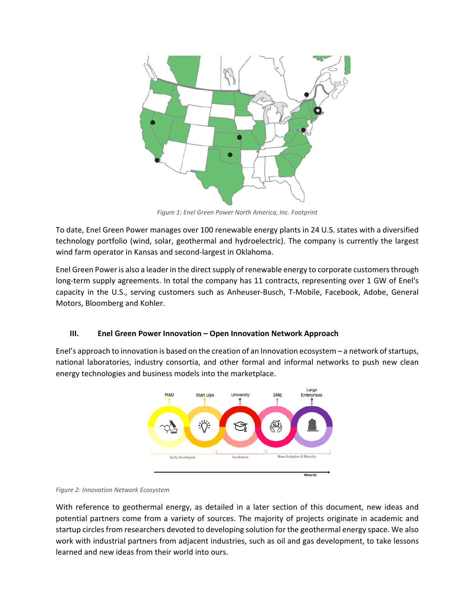

*Figure 1: Enel Green Power North America, Inc. Footprint* 

To date, Enel Green Power manages over 100 renewable energy plants in 24 U.S. states with a diversified technology portfolio (wind, solar, geothermal and hydroelectric). The company is currently the largest wind farm operator in Kansas and second‐largest in Oklahoma.

Enel Green Power is also a leader in the direct supply of renewable energy to corporate customers through long-term supply agreements. In total the company has 11 contracts, representing over 1 GW of Enel's capacity in the U.S., serving customers such as Anheuser‐Busch, T‐Mobile, Facebook, Adobe, General Motors, Bloomberg and Kohler.

### **III. Enel Green Power Innovation – Open Innovation Network Approach**

Enel's approach to innovation is based on the creation of an Innovation ecosystem – a network of startups, national laboratories, industry consortia, and other formal and informal networks to push new clean energy technologies and business models into the marketplace.



*Figure 2: Innovation Network Ecosystem* 

With reference to geothermal energy, as detailed in a later section of this document, new ideas and potential partners come from a variety of sources. The majority of projects originate in academic and startup circles from researchers devoted to developing solution for the geothermal energy space. We also work with industrial partners from adjacent industries, such as oil and gas development, to take lessons learned and new ideas from their world into ours.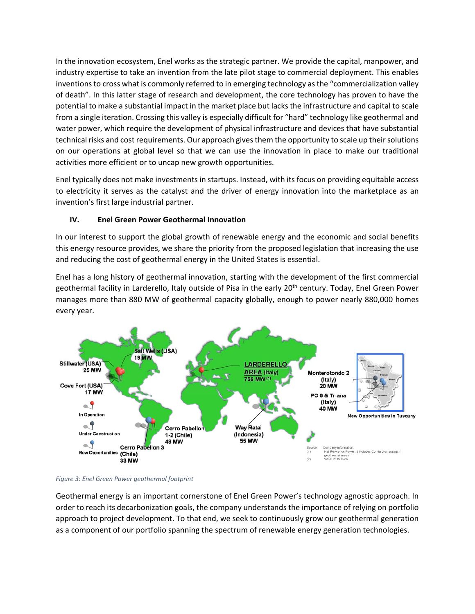In the innovation ecosystem, Enel works as the strategic partner. We provide the capital, manpower, and industry expertise to take an invention from the late pilot stage to commercial deployment. This enables inventions to cross what is commonly referred to in emerging technology as the "commercialization valley of death". In this latter stage of research and development, the core technology has proven to have the potential to make a substantial impact in the market place but lacks the infrastructure and capital to scale from a single iteration. Crossing this valley is especially difficult for "hard" technology like geothermal and water power, which require the development of physical infrastructure and devices that have substantial technical risks and cost requirements. Our approach gives them the opportunity to scale up their solutions on our operations at global level so that we can use the innovation in place to make our traditional activities more efficient or to uncap new growth opportunities.

Enel typically does not make investments in startups. Instead, with its focus on providing equitable access to electricity it serves as the catalyst and the driver of energy innovation into the marketplace as an invention's first large industrial partner.

# **IV. Enel Green Power Geothermal Innovation**

In our interest to support the global growth of renewable energy and the economic and social benefits this energy resource provides, we share the priority from the proposed legislation that increasing the use and reducing the cost of geothermal energy in the United States is essential.

Enel has a long history of geothermal innovation, starting with the development of the first commercial geothermal facility in Larderello, Italy outside of Pisa in the early 20<sup>th</sup> century. Today, Enel Green Power manages more than 880 MW of geothermal capacity globally, enough to power nearly 880,000 homes every year.





Geothermal energy is an important cornerstone of Enel Green Power's technology agnostic approach. In order to reach its decarbonization goals, the company understands the importance of relying on portfolio approach to project development. To that end, we seek to continuously grow our geothermal generation as a component of our portfolio spanning the spectrum of renewable energy generation technologies.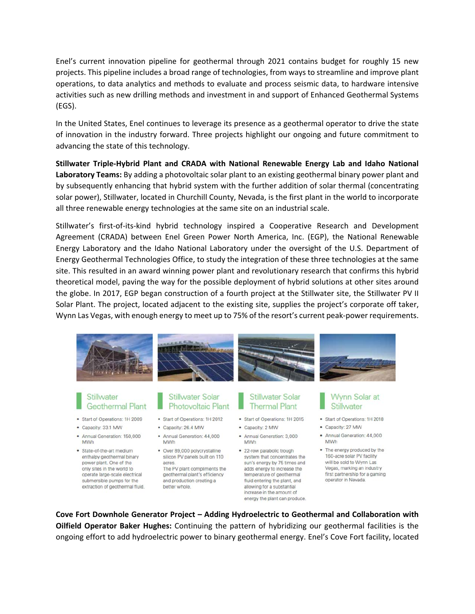Enel's current innovation pipeline for geothermal through 2021 contains budget for roughly 15 new projects. This pipeline includes a broad range of technologies, from ways to streamline and improve plant operations, to data analytics and methods to evaluate and process seismic data, to hardware intensive activities such as new drilling methods and investment in and support of Enhanced Geothermal Systems (EGS).

In the United States, Enel continues to leverage its presence as a geothermal operator to drive the state of innovation in the industry forward. Three projects highlight our ongoing and future commitment to advancing the state of this technology.

**Stillwater Triple‐Hybrid Plant and CRADA with National Renewable Energy Lab and Idaho National Laboratory Teams:** By adding a photovoltaic solar plant to an existing geothermal binary power plant and by subsequently enhancing that hybrid system with the further addition of solar thermal (concentrating solar power), Stillwater, located in Churchill County, Nevada, is the first plant in the world to incorporate all three renewable energy technologies at the same site on an industrial scale.

Stillwater's first‐of‐its‐kind hybrid technology inspired a Cooperative Research and Development Agreement (CRADA) between Enel Green Power North America, Inc. (EGP), the National Renewable Energy Laboratory and the Idaho National Laboratory under the oversight of the U.S. Department of Energy Geothermal Technologies Office, to study the integration of these three technologies at the same site. This resulted in an award winning power plant and revolutionary research that confirms this hybrid theoretical model, paving the way for the possible deployment of hybrid solutions at other sites around the globe. In 2017, EGP began construction of a fourth project at the Stillwater site, the Stillwater PV II Solar Plant. The project, located adjacent to the existing site, supplies the project's corporate off taker, Wynn Las Vegas, with enough energy to meet up to 75% of the resort's current peak‐power requirements.



#### Stillwater **Geothermal Plant**

- Start of Operations: 1H 2009
- Capacity: 33.1 MW
- · Annual Generation: 150,000 MWh
- · State-of-the-art medium enthalpy geothermal binary power plant. One of the only sites in the world to operate large-scale electrical submersible pumps for the extraction of geothermal fluid.

#### **Stillwater Solar Photovoltaic Plant**

- Start of Operations: 1H 2012
- · Capacity: 26.4 MW
- · Annual Generation: 44,000 MWh
- · Over 89,000 polycrystalline silicon PV panels built on 110 acres The PV plant compliments the geothermal plant's efficiency and production creating a better whole.

### **Stillwater Solar Thermal Plant**

- Start of Operations: 1H 2015
- Capacity: 2 MW
- · Annual Generation: 3,000 MWh
	- · 22-row parabolic trough system that concentrates the sun's energy by 75 times and adds energy to increase the temperature of geothermal fluid entering the plant, and allowing for a substantial increase in the amount of energy the plant can produce.

### **Wynn Solar at** Stillwater

- Start of Operations: 1H 2018
- Capacity: 27 MW
- · Annual Generation: 44,000 MWh
- . The energy produced by the 160-acre solar PV facility will be sold to Wynn Las Vegas, marking an industry first partnership for a gaming operator in Nevada.

**Cove Fort Downhole Generator Project – Adding Hydroelectric to Geothermal and Collaboration with Oilfield Operator Baker Hughes:** Continuing the pattern of hybridizing our geothermal facilities is the ongoing effort to add hydroelectric power to binary geothermal energy. Enel's Cove Fort facility, located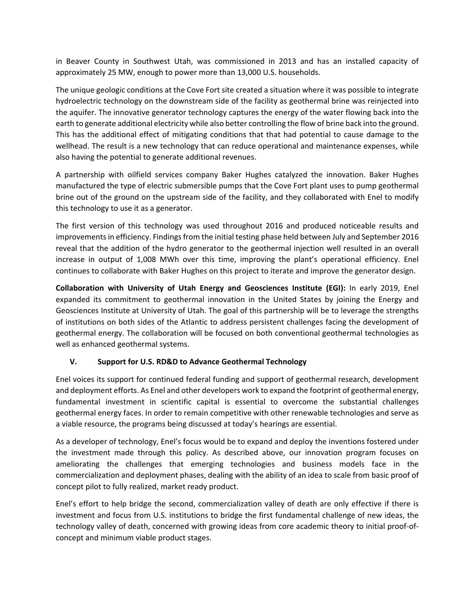in Beaver County in Southwest Utah, was commissioned in 2013 and has an installed capacity of approximately 25 MW, enough to power more than 13,000 U.S. households.

The unique geologic conditions at the Cove Fort site created a situation where it was possible to integrate hydroelectric technology on the downstream side of the facility as geothermal brine was reinjected into the aquifer. The innovative generator technology captures the energy of the water flowing back into the earth to generate additional electricity while also better controlling the flow of brine back into the ground. This has the additional effect of mitigating conditions that that had potential to cause damage to the wellhead. The result is a new technology that can reduce operational and maintenance expenses, while also having the potential to generate additional revenues.

A partnership with oilfield services company Baker Hughes catalyzed the innovation. Baker Hughes manufactured the type of electric submersible pumps that the Cove Fort plant uses to pump geothermal brine out of the ground on the upstream side of the facility, and they collaborated with Enel to modify this technology to use it as a generator.

The first version of this technology was used throughout 2016 and produced noticeable results and improvements in efficiency. Findings from the initial testing phase held between July and September 2016 reveal that the addition of the hydro generator to the geothermal injection well resulted in an overall increase in output of 1,008 MWh over this time, improving the plant's operational efficiency. Enel continues to collaborate with Baker Hughes on this project to iterate and improve the generator design.

**Collaboration with University of Utah Energy and Geosciences Institute (EGI):** In early 2019, Enel expanded its commitment to geothermal innovation in the United States by joining the Energy and Geosciences Institute at University of Utah. The goal of this partnership will be to leverage the strengths of institutions on both sides of the Atlantic to address persistent challenges facing the development of geothermal energy. The collaboration will be focused on both conventional geothermal technologies as well as enhanced geothermal systems.

## **V. Support for U.S. RD&D to Advance Geothermal Technology**

Enel voices its support for continued federal funding and support of geothermal research, development and deployment efforts. As Enel and other developers work to expand the footprint of geothermal energy, fundamental investment in scientific capital is essential to overcome the substantial challenges geothermal energy faces. In order to remain competitive with other renewable technologies and serve as a viable resource, the programs being discussed at today's hearings are essential.

As a developer of technology, Enel's focus would be to expand and deploy the inventions fostered under the investment made through this policy. As described above, our innovation program focuses on ameliorating the challenges that emerging technologies and business models face in the commercialization and deployment phases, dealing with the ability of an idea to scale from basic proof of concept pilot to fully realized, market ready product.

Enel's effort to help bridge the second, commercialization valley of death are only effective if there is investment and focus from U.S. institutions to bridge the first fundamental challenge of new ideas, the technology valley of death, concerned with growing ideas from core academic theory to initial proof‐of‐ concept and minimum viable product stages.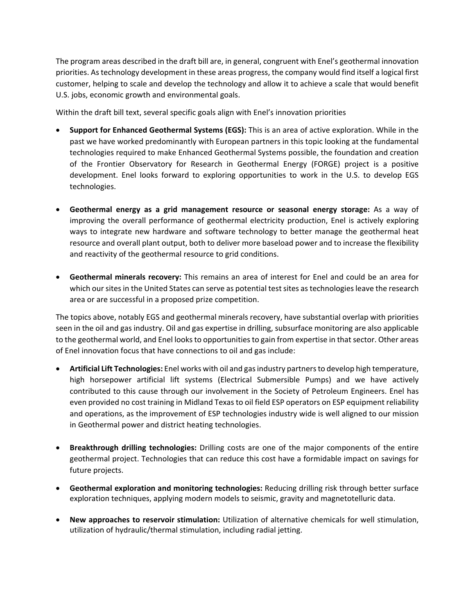The program areas described in the draft bill are, in general, congruent with Enel's geothermal innovation priorities. As technology development in these areas progress, the company would find itself a logical first customer, helping to scale and develop the technology and allow it to achieve a scale that would benefit U.S. jobs, economic growth and environmental goals.

Within the draft bill text, several specific goals align with Enel's innovation priorities

- **Support for Enhanced Geothermal Systems (EGS):** This is an area of active exploration. While in the past we have worked predominantly with European partners in this topic looking at the fundamental technologies required to make Enhanced Geothermal Systems possible, the foundation and creation of the Frontier Observatory for Research in Geothermal Energy (FORGE) project is a positive development. Enel looks forward to exploring opportunities to work in the U.S. to develop EGS technologies.
- **Geothermal energy as a grid management resource or seasonal energy storage:** As a way of improving the overall performance of geothermal electricity production, Enel is actively exploring ways to integrate new hardware and software technology to better manage the geothermal heat resource and overall plant output, both to deliver more baseload power and to increase the flexibility and reactivity of the geothermal resource to grid conditions.
- **Geothermal minerals recovery:** This remains an area of interest for Enel and could be an area for which our sites in the United States can serve as potential test sites as technologies leave the research area or are successful in a proposed prize competition.

The topics above, notably EGS and geothermal minerals recovery, have substantial overlap with priorities seen in the oil and gas industry. Oil and gas expertise in drilling, subsurface monitoring are also applicable to the geothermal world, and Enel looks to opportunities to gain from expertise in that sector. Other areas of Enel innovation focus that have connections to oil and gas include:

- **Artificial Lift Technologies:** Enel works with oil and gas industry partners to develop high temperature, high horsepower artificial lift systems (Electrical Submersible Pumps) and we have actively contributed to this cause through our involvement in the Society of Petroleum Engineers. Enel has even provided no cost training in Midland Texas to oil field ESP operators on ESP equipment reliability and operations, as the improvement of ESP technologies industry wide is well aligned to our mission in Geothermal power and district heating technologies.
- **Breakthrough drilling technologies:** Drilling costs are one of the major components of the entire geothermal project. Technologies that can reduce this cost have a formidable impact on savings for future projects.
- **Geothermal exploration and monitoring technologies:** Reducing drilling risk through better surface exploration techniques, applying modern models to seismic, gravity and magnetotelluric data.
- **New approaches to reservoir stimulation:** Utilization of alternative chemicals for well stimulation, utilization of hydraulic/thermal stimulation, including radial jetting.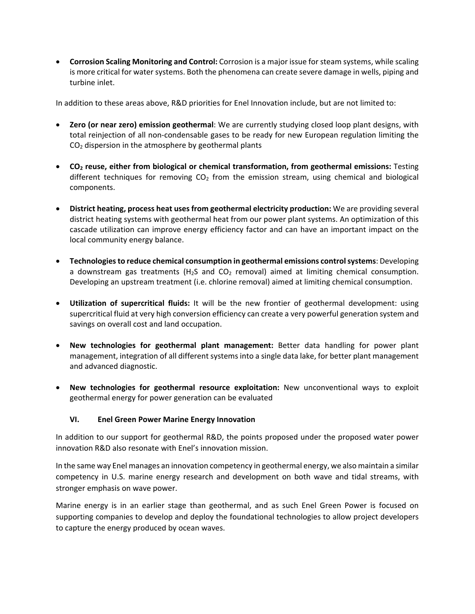**Corrosion Scaling Monitoring and Control:** Corrosion is a major issue for steam systems, while scaling is more critical for water systems. Both the phenomena can create severe damage in wells, piping and turbine inlet.

In addition to these areas above, R&D priorities for Enel Innovation include, but are not limited to:

- **Zero (or near zero) emission geothermal**: We are currently studying closed loop plant designs, with total reinjection of all non‐condensable gases to be ready for new European regulation limiting the  $CO<sub>2</sub>$  dispersion in the atmosphere by geothermal plants
- **CO2 reuse, either from biological or chemical transformation, from geothermal emissions:** Testing different techniques for removing  $CO<sub>2</sub>$  from the emission stream, using chemical and biological components.
- **District heating, process heat uses from geothermal electricity production:** We are providing several district heating systems with geothermal heat from our power plant systems. An optimization of this cascade utilization can improve energy efficiency factor and can have an important impact on the local community energy balance.
- **Technologies to reduce chemical consumption in geothermal emissions control systems**: Developing a downstream gas treatments  $(H<sub>2</sub>S$  and  $CO<sub>2</sub>$  removal) aimed at limiting chemical consumption. Developing an upstream treatment (i.e. chlorine removal) aimed at limiting chemical consumption.
- **Utilization of supercritical fluids:**  It will be the new frontier of geothermal development: using supercritical fluid at very high conversion efficiency can create a very powerful generation system and savings on overall cost and land occupation.
- **New technologies for geothermal plant management:** Better data handling for power plant management, integration of all different systems into a single data lake, for better plant management and advanced diagnostic.
- **New technologies for geothermal resource exploitation:** New unconventional ways to exploit geothermal energy for power generation can be evaluated

## **VI. Enel Green Power Marine Energy Innovation**

In addition to our support for geothermal R&D, the points proposed under the proposed water power innovation R&D also resonate with Enel's innovation mission.

In the same way Enel manages an innovation competency in geothermal energy, we also maintain a similar competency in U.S. marine energy research and development on both wave and tidal streams, with stronger emphasis on wave power.

Marine energy is in an earlier stage than geothermal, and as such Enel Green Power is focused on supporting companies to develop and deploy the foundational technologies to allow project developers to capture the energy produced by ocean waves.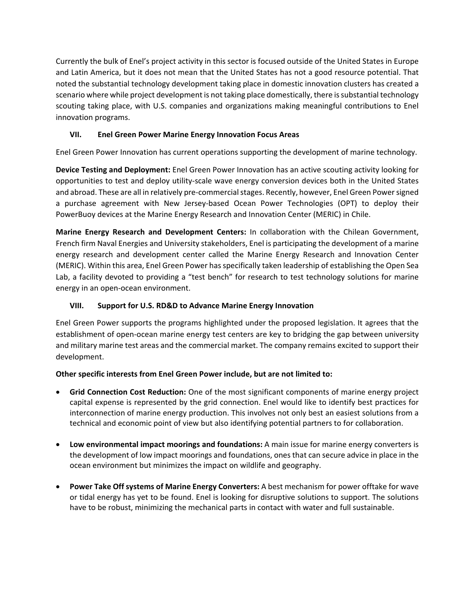Currently the bulk of Enel's project activity in this sector is focused outside of the United States in Europe and Latin America, but it does not mean that the United States has not a good resource potential. That noted the substantial technology development taking place in domestic innovation clusters has created a scenario where while project development is not taking place domestically, there is substantial technology scouting taking place, with U.S. companies and organizations making meaningful contributions to Enel innovation programs.

# **VII. Enel Green Power Marine Energy Innovation Focus Areas**

Enel Green Power Innovation has current operations supporting the development of marine technology.

**Device Testing and Deployment:** Enel Green Power Innovation has an active scouting activity looking for opportunities to test and deploy utility‐scale wave energy conversion devices both in the United States and abroad. These are all in relatively pre‐commercial stages. Recently, however, Enel Green Power signed a purchase agreement with New Jersey‐based Ocean Power Technologies (OPT) to deploy their PowerBuoy devices at the Marine Energy Research and Innovation Center (MERIC) in Chile.

**Marine Energy Research and Development Centers:** In collaboration with the Chilean Government, French firm Naval Energies and University stakeholders, Enel is participating the development of a marine energy research and development center called the Marine Energy Research and Innovation Center (MERIC). Within this area, Enel Green Power has specifically taken leadership of establishing the Open Sea Lab, a facility devoted to providing a "test bench" for research to test technology solutions for marine energy in an open‐ocean environment.

## **VIII. Support for U.S. RD&D to Advance Marine Energy Innovation**

Enel Green Power supports the programs highlighted under the proposed legislation. It agrees that the establishment of open‐ocean marine energy test centers are key to bridging the gap between university and military marine test areas and the commercial market. The company remains excited to support their development.

## **Other specific interests from Enel Green Power include, but are not limited to:**

- **Grid Connection Cost Reduction:** One of the most significant components of marine energy project capital expense is represented by the grid connection. Enel would like to identify best practices for interconnection of marine energy production. This involves not only best an easiest solutions from a technical and economic point of view but also identifying potential partners to for collaboration.
- **Low environmental impact moorings and foundations:** A main issue for marine energy converters is the development of low impact moorings and foundations, ones that can secure advice in place in the ocean environment but minimizes the impact on wildlife and geography.
- **Power Take Off systems of Marine Energy Converters:** A best mechanism for power offtake for wave or tidal energy has yet to be found. Enel is looking for disruptive solutions to support. The solutions have to be robust, minimizing the mechanical parts in contact with water and full sustainable.